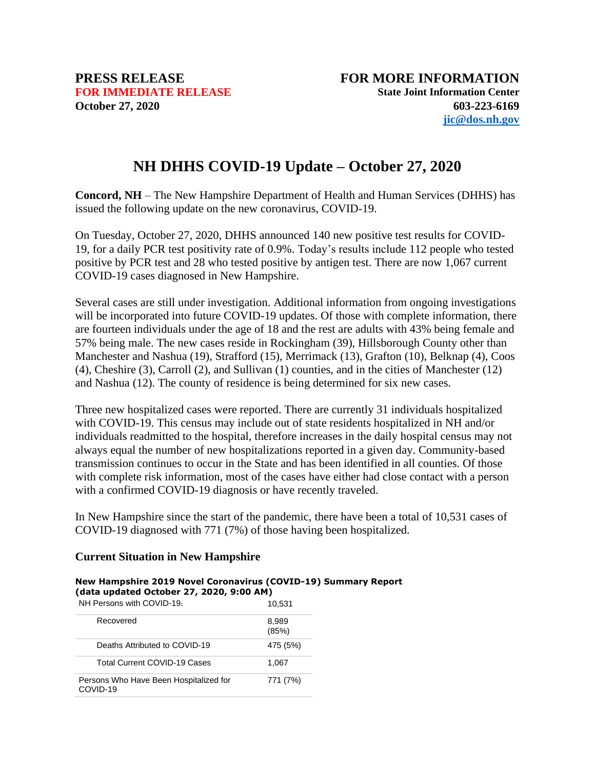# **NH DHHS COVID-19 Update – October 27, 2020**

**Concord, NH** – The New Hampshire Department of Health and Human Services (DHHS) has issued the following update on the new coronavirus, COVID-19.

On Tuesday, October 27, 2020, DHHS announced 140 new positive test results for COVID-19, for a daily PCR test positivity rate of 0.9%. Today's results include 112 people who tested positive by PCR test and 28 who tested positive by antigen test. There are now 1,067 current COVID-19 cases diagnosed in New Hampshire.

Several cases are still under investigation. Additional information from ongoing investigations will be incorporated into future COVID-19 updates. Of those with complete information, there are fourteen individuals under the age of 18 and the rest are adults with 43% being female and 57% being male. The new cases reside in Rockingham (39), Hillsborough County other than Manchester and Nashua (19), Strafford (15), Merrimack (13), Grafton (10), Belknap (4), Coos (4), Cheshire (3), Carroll (2), and Sullivan (1) counties, and in the cities of Manchester (12) and Nashua (12). The county of residence is being determined for six new cases.

Three new hospitalized cases were reported. There are currently 31 individuals hospitalized with COVID-19. This census may include out of state residents hospitalized in NH and/or individuals readmitted to the hospital, therefore increases in the daily hospital census may not always equal the number of new hospitalizations reported in a given day. Community-based transmission continues to occur in the State and has been identified in all counties. Of those with complete risk information, most of the cases have either had close contact with a person with a confirmed COVID-19 diagnosis or have recently traveled.

In New Hampshire since the start of the pandemic, there have been a total of 10,531 cases of COVID-19 diagnosed with 771 (7%) of those having been hospitalized.

### **Current Situation in New Hampshire**

#### **New Hampshire 2019 Novel Coronavirus (COVID-19) Summary Report (data updated October 27, 2020, 9:00 AM)**

| NH Persons with COVID-19                           | 10,531         |
|----------------------------------------------------|----------------|
| Recovered                                          | 8,989<br>(85%) |
| Deaths Attributed to COVID-19                      | 475 (5%)       |
| <b>Total Current COVID-19 Cases</b>                | 1,067          |
| Persons Who Have Been Hospitalized for<br>COVID-19 | 771 (7%)       |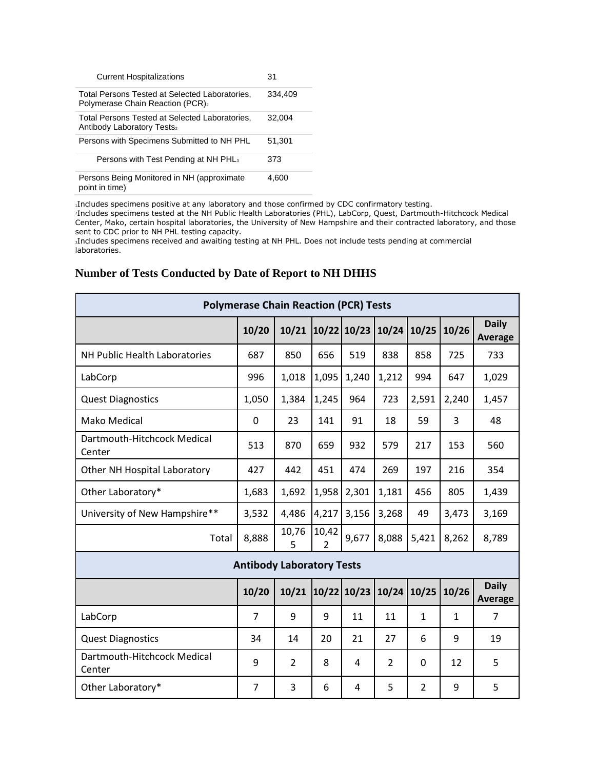| <b>Current Hospitalizations</b>                                                                 | 31      |
|-------------------------------------------------------------------------------------------------|---------|
| Total Persons Tested at Selected Laboratories,<br>Polymerase Chain Reaction (PCR) <sub>2</sub>  | 334.409 |
| Total Persons Tested at Selected Laboratories,<br><b>Antibody Laboratory Tests</b> <sub>2</sub> | 32.004  |
| Persons with Specimens Submitted to NH PHL                                                      | 51,301  |
| Persons with Test Pending at NH PHL <sub>3</sub>                                                | 373     |
| Persons Being Monitored in NH (approximate<br>point in time)                                    | 4.600   |

<sup>1</sup>Includes specimens positive at any laboratory and those confirmed by CDC confirmatory testing.

<sup>2</sup>Includes specimens tested at the NH Public Health Laboratories (PHL), LabCorp, Quest, Dartmouth-Hitchcock Medical Center, Mako, certain hospital laboratories, the University of New Hampshire and their contracted laboratory, and those sent to CDC prior to NH PHL testing capacity.

<sup>3</sup>Includes specimens received and awaiting testing at NH PHL. Does not include tests pending at commercial laboratories.

| <b>Polymerase Chain Reaction (PCR) Tests</b> |                |                |                         |             |                |                |              |                                |
|----------------------------------------------|----------------|----------------|-------------------------|-------------|----------------|----------------|--------------|--------------------------------|
|                                              | 10/20          | 10/21          |                         | 10/22 10/23 | 10/24          | 10/25          | 10/26        | <b>Daily</b><br>Average        |
| NH Public Health Laboratories                | 687            | 850            | 656                     | 519         | 838            | 858            | 725          | 733                            |
| LabCorp                                      | 996            | 1,018          | 1,095                   | 1,240       | 1,212          | 994            | 647          | 1,029                          |
| <b>Quest Diagnostics</b>                     | 1,050          | 1,384          | 1,245                   | 964         | 723            | 2,591          | 2,240        | 1,457                          |
| <b>Mako Medical</b>                          | 0              | 23             | 141                     | 91          | 18             | 59             | 3            | 48                             |
| Dartmouth-Hitchcock Medical<br>Center        | 513            | 870            | 659                     | 932         | 579            | 217            | 153          | 560                            |
| Other NH Hospital Laboratory                 | 427            | 442            | 451                     | 474         | 269            | 197            | 216          | 354                            |
| Other Laboratory*                            | 1,683          | 1,692          | 1,958                   | 2,301       | 1,181          | 456            | 805          | 1,439                          |
| University of New Hampshire**                | 3,532          | 4,486          | 4,217                   | 3,156       | 3,268          | 49             | 3,473        | 3,169                          |
| Total                                        | 8,888          | 10,76<br>5     | 10,42<br>$\overline{2}$ | 9,677       | 8,088          | 5,421          | 8,262        | 8,789                          |
| <b>Antibody Laboratory Tests</b>             |                |                |                         |             |                |                |              |                                |
|                                              | 10/20          | 10/21          | 10/22                   | 10/23       | 10/24          | 10/25          | 10/26        | <b>Daily</b><br><b>Average</b> |
| LabCorp                                      | $\overline{7}$ | 9              | 9                       | 11          | 11             | $\mathbf{1}$   | $\mathbf{1}$ | $\overline{7}$                 |
| <b>Quest Diagnostics</b>                     | 34             | 14             | 20                      | 21          | 27             | 6              | 9            | 19                             |
| Dartmouth-Hitchcock Medical<br>Center        | 9              | $\overline{2}$ | 8                       | 4           | $\overline{2}$ | 0              | 12           | 5                              |
| Other Laboratory*                            | $\overline{7}$ | 3              | 6                       | 4           | 5              | $\overline{2}$ | 9            | 5                              |

## **Number of Tests Conducted by Date of Report to NH DHHS**